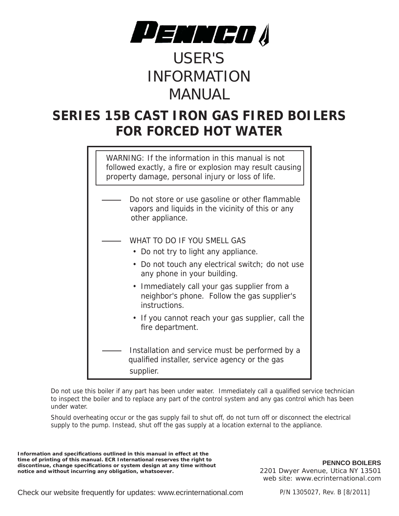

# USER'S INFORMATION MANUAL

## **SERIES 15B CAST IRON GAS FIRED BOILERS FOR FORCED HOT WATER**

WARNING: If the information in this manual is not followed exactly, a fire or explosion may result causing property damage, personal injury or loss of life.

- Do not store or use gasoline or other flammable vapors and liquids in the vicinity of this or any other appliance.
	- WHAT TO DO IF YOU SMELL GAS
		- Do not try to light any appliance.
		- Do not touch any electrical switch; do not use any phone in your building.
		- Immediately call your gas supplier from a neighbor's phone. Follow the gas supplier's instructions.
		- If you cannot reach your gas supplier, call the fire department.
- Installation and service must be performed by a qualified installer, service agency or the gas supplier.

Do not use this boiler if any part has been under water. Immediately call a qualified service technician to inspect the boiler and to replace any part of the control system and any gas control which has been under water.

Should overheating occur or the gas supply fail to shut off, do not turn off or disconnect the electrical supply to the pump. Instead, shut off the gas supply at a location external to the appliance.

**Information and specifi cations outlined in this manual in effect at the time of printing of this manual. ECR International reserves the right to discontinue, change specifi cations or system design at any time without notice and without incurring any obligation, whatsoever.**

**PENNCO BOILERS** 2201 Dwyer Avenue, Utica NY 13501 web site: www.ecrinternational.com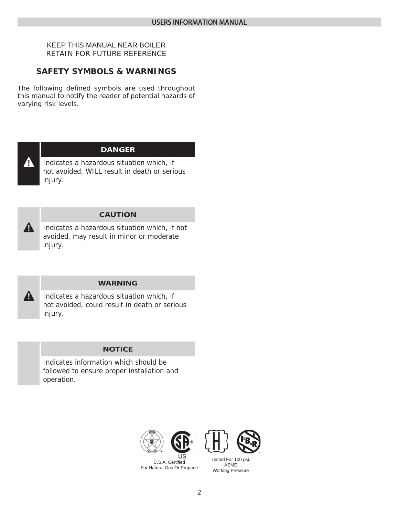#### KEEP THIS MANUAL NEAR BOILER RETAIN FOR FUTURE REFERENCE

### **SAFETY SYMBOLS & WARNINGS**

The following defined symbols are used throughout this manual to notify the reader of potential hazards of varying risk levels.



#### **DANGER**

Indicates a hazardous situation which, if not avoided, WILL result in death or serious injury.



#### **CAUTION**

Indicates a hazardous situation which, if not avoided, may result in minor or moderate injury.



#### **WARNING**

Indicates a hazardous situation which, if not avoided, could result in death or serious injury.

#### **NOTICE**

Indicates information which should be followed to ensure proper installation and operation.





C.S.A. Certified For Natural Gas Or Propane Tested For 100 psi. ASME Working Pressure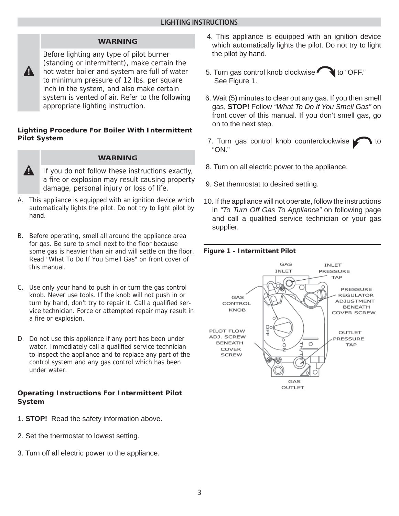#### **WARNING**

Before lighting any type of pilot burner (standing or intermittent), make certain the hot water boiler and system are full of water to minimum pressure of 12 lbs. per square inch in the system, and also make certain system is vented of air. Refer to the following appropriate lighting instruction.

#### **Lighting Procedure For Boiler With Intermittent Pilot System**



**!**

#### **WARNING**

- If you do not follow these instructions exactly, a fire or explosion may result causing property damage, personal injury or loss of life.
- A. This appliance is equipped with an ignition device which automatically lights the pilot. Do not try to light pilot by hand.
- B. Before operating, smell all around the appliance area for gas. Be sure to smell next to the floor because some gas is heavier than air and will settle on the floor. Read *"What To Do If You Smell Gas"* on front cover of this manual.
- C. Use only your hand to push in or turn the gas control knob. Never use tools. If the knob will not push in or turn by hand, don't try to repair it. Call a qualified service technician. Force or attempted repair may result in a fire or explosion.
- D. Do not use this appliance if any part has been under water. Immediately call a qualified service technician to inspect the appliance and to replace any part of the control system and any gas control which has been under water.

#### **Operating Instructions For Intermittent Pilot System**

- 1. **STOP!** Read the safety information above.
- 2. Set the thermostat to lowest setting.
- 3. Turn off all electric power to the appliance.
- 4. This appliance is equipped with an ignition device which automatically lights the pilot. Do not try to light the pilot by hand.
- 5. Turn gas control knob clockwise  $\bigcirc$  to "OFF." See Figure 1.
- 6. Wait (5) minutes to clear out any gas. If you then smell gas, **STOP!** Follow *"What To Do If You Smell Gas"* on front cover of this manual. If you don't smell gas, go on to the next step.
- 7. Turn gas control knob counterclockwise  $\sim$  to "ON."
- 8. Turn on all electric power to the appliance.
- 9. Set thermostat to desired setting.
- 10. If the appliance will not operate, follow the instructions in *"To Turn Off Gas To Appliance"* on following page and call a qualified service technician or your gas supplier.

#### **Figure 1 - Intermittent Pilot**

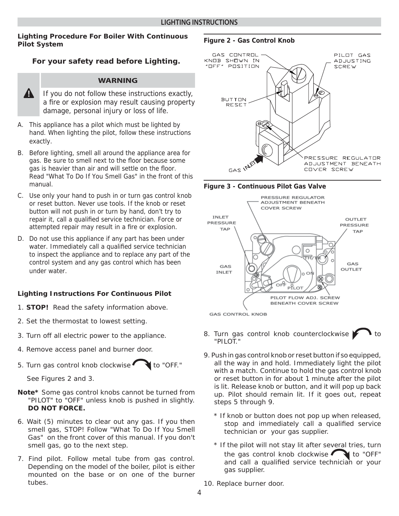#### **Lighting Procedure For Boiler With Continuous Pilot System**

#### **For your safety read before Lighting.**

#### **WARNING**

- **!** If you do not follow these instructions exactly, a fire or explosion may result causing property damage, personal injury or loss of life.
- A. This appliance has a pilot which must be lighted by hand. When lighting the pilot, follow these instructions exactly.
- B. Before lighting, smell all around the appliance area for gas. Be sure to smell next to the floor because some gas is heavier than air and will settle on the floor. Read *"What To Do If You Smell Gas"* in the front of this manual.
- C. Use only your hand to push in or turn gas control knob or reset button. Never use tools. If the knob or reset button will not push in or turn by hand, don't try to repair it, call a qualified service technician. Force or attempted repair may result in a fire or explosion.
- D. Do not use this appliance if any part has been under water. Immediately call a qualified service technician to inspect the appliance and to replace any part of the control system and any gas control which has been under water.

#### **Lighting Instructions For Continuous Pilot**

- 1. **STOP!** Read the safety information above.
- 2. Set the thermostat to lowest setting.
- 3. Turn off all electric power to the appliance.
- 4. Remove access panel and burner door.
- 5. Turn gas control knob clockwise  $\bullet$  to "OFF."

See Figures 2 and 3.

- **Note\*** Some gas control knobs cannot be turned from "PILOT" to "OFF" unless knob is pushed in slightly. **DO NOT FORCE.**
- 6. Wait (5) minutes to clear out any gas. If you then smell gas, STOP! Follow "What To Do If You Smell Gas" on the front cover of this manual. If you don't smell gas, go to the next step.
- 7. Find pilot. Follow metal tube from gas control. Depending on the model of the boiler, pilot is either mounted on the base or on one of the burner tubes.

#### **Figure 2 - Gas Control Knob**







- 8. Turn gas control knob counterclockwise  $\blacktriangleright$  1 to "PILOT."
- 9. Push in gas control knob or reset button if so equipped, all the way in and hold. Immediately light the pilot with a match. Continue to hold the gas control knob or reset button in for about 1 minute after the pilot is lit. Release knob or button, and it will pop up back up. Pilot should remain lit. If it goes out, repeat steps 5 through 9.
	- \* If knob or button does not pop up when released, stop and immediately call a qualified service technician or your gas supplier.
	- \* If the pilot will not stay lit after several tries, turn the gas control knob clockwise  $\bigcirc$  to "OFF" and call a qualified service technician or your gas supplier.
- 10. Replace burner door.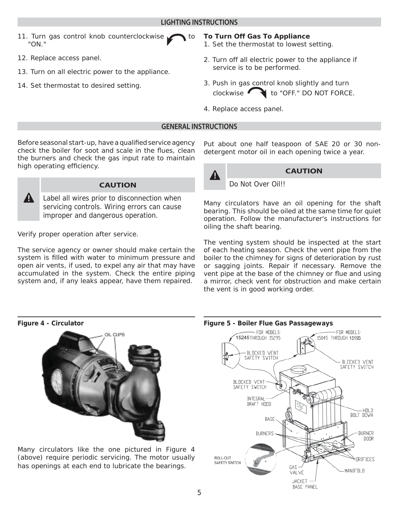- 11. Turn gas control knob counterclockwise  $\sim$  to "ON."
- 12. Replace access panel.
- 13. Turn on all electric power to the appliance.
- 14. Set thermostat to desired setting.

#### **To Turn Off Gas To Appliance**

- 1. Set the thermostat to lowest setting.
- 2. Turn off all electric power to the appliance if service is to be performed.
- 3. Push in gas control knob slightly and turn clockwise to "OFF." DO NOT FORCE.
- 4. Replace access panel.

#### **GENERAL INSTRUCTIONS**

Before seasonal start-up, have a qualified service agency check the boiler for soot and scale in the flues, clean the burners and check the gas input rate to maintain high operating efficiency.



#### **CAUTION**

Label all wires prior to disconnection when servicing controls. Wiring errors can cause improper and dangerous operation.

Verify proper operation after service.

The service agency or owner should make certain the system is filled with water to minimum pressure and open air vents, if used, to expel any air that may have accumulated in the system. Check the entire piping system and, if any leaks appear, have them repaired.

Put about one half teaspoon of SAE 20 or 30 nondetergent motor oil in each opening twice a year.



#### **! CAUTION**

Do Not Over Oil!!

Many circulators have an oil opening for the shaft bearing. This should be oiled at the same time for quiet operation. Follow the manufacturer's instructions for oiling the shaft bearing.

The venting system should be inspected at the start of each heating season. Check the vent pipe from the boiler to the chimney for signs of deterioration by rust or sagging joints. Repair if necessary. Remove the vent pipe at the base of the chimney or flue and using a mirror, check vent for obstruction and make certain the vent is in good working order.

#### **Figure 4 - Circulator**



Many circulators like the one pictured in Figure 4 (above) require periodic servicing. The motor usually has openings at each end to lubricate the bearings.



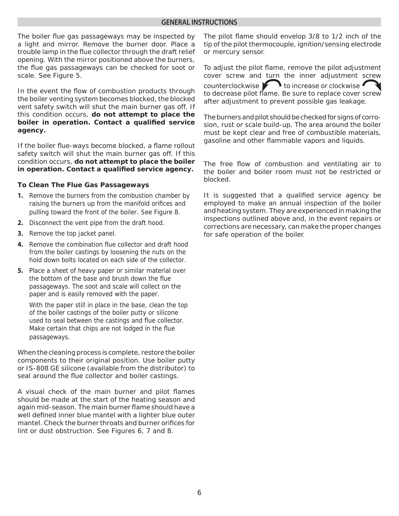#### **GENERAL INSTRUCTIONS**

The boiler flue gas passageways may be inspected by a light and mirror. Remove the burner door. Place a trouble lamp in the flue collector through the draft relief opening. With the mirror positioned above the burners, the flue gas passageways can be checked for soot or scale. See Figure 5.

In the event the flow of combustion products through the boiler venting system becomes blocked, the blocked vent safety switch will shut the main burner gas off. If this condition occurs, **do not attempt to place the boiler in operation. Contact a qualified service agency.**

If the boiler flue-ways become blocked, a flame rollout safety switch will shut the main burner gas off. If this condition occurs, **do not attempt to place the boiler**  in operation. Contact a qualified service agency.

#### **To Clean The Flue Gas Passageways**

- **1.** Remove the burners from the combustion chamber by raising the burners up from the manifold orifices and pulling toward the front of the boiler. See Figure 8.
- **2.** Disconnect the vent pipe from the draft hood.
- **3.** Remove the top jacket panel.
- **4.** Remove the combination flue collector and draft hood from the boiler castings by loosening the nuts on the hold down bolts located on each side of the collector.
- **5.** Place a sheet of heavy paper or similar material over the bottom of the base and brush down the flue passageways. The soot and scale will collect on the paper and is easily removed with the paper.

With the paper still in place in the base, clean the top of the boiler castings of the boiler putty or silicone used to seal between the castings and flue collector. Make certain that chips are not lodged in the flue passageways.

When the cleaning process is complete, restore the boiler components to their original position. Use boiler putty or IS-808 GE silicone (available from the distributor) to seal around the flue collector and boiler castings.

A visual check of the main burner and pilot flames should be made at the start of the heating season and again mid-season. The main burner flame should have a well defined inner blue mantel with a lighter blue outer mantel. Check the burner throats and burner orifices for lint or dust obstruction. See Figures 6, 7 and 8.

The pilot flame should envelop 3/8 to 1/2 inch of the tip of the pilot thermocouple, ignition/sensing electrode or mercury sensor.

To adjust the pilot flame, remove the pilot adjustment cover screw and turn the inner adjustment screw counterclockwise **the interval** to increase or clockwise to decrease pilot flame. Be sure to replace cover screw after adjustment to prevent possible gas leakage.

The burners and pilot should be checked for signs of corrosion, rust or scale build-up. The area around the boiler must be kept clear and free of combustible materials, gasoline and other flammable vapors and liquids.

The free flow of combustion and ventilating air to the boiler and boiler room must not be restricted or blocked.

It is suggested that a qualified service agency be employed to make an annual inspection of the boiler and heating system. They are experienced in making the inspections outlined above and, in the event repairs or corrections are necessary, can make the proper changes for safe operation of the boiler.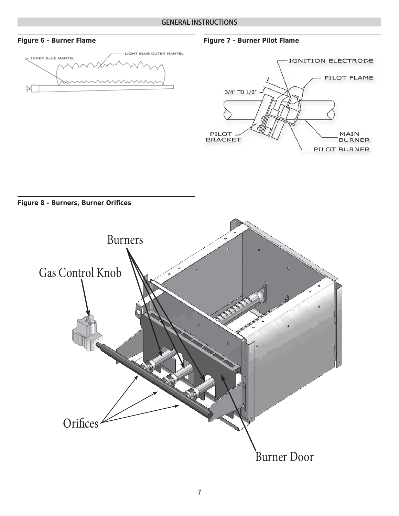#### **GENERAL INSTRUCTIONS**



**Figure 6 - Burner Flame Figure 7 - Burner Pilot Flame**